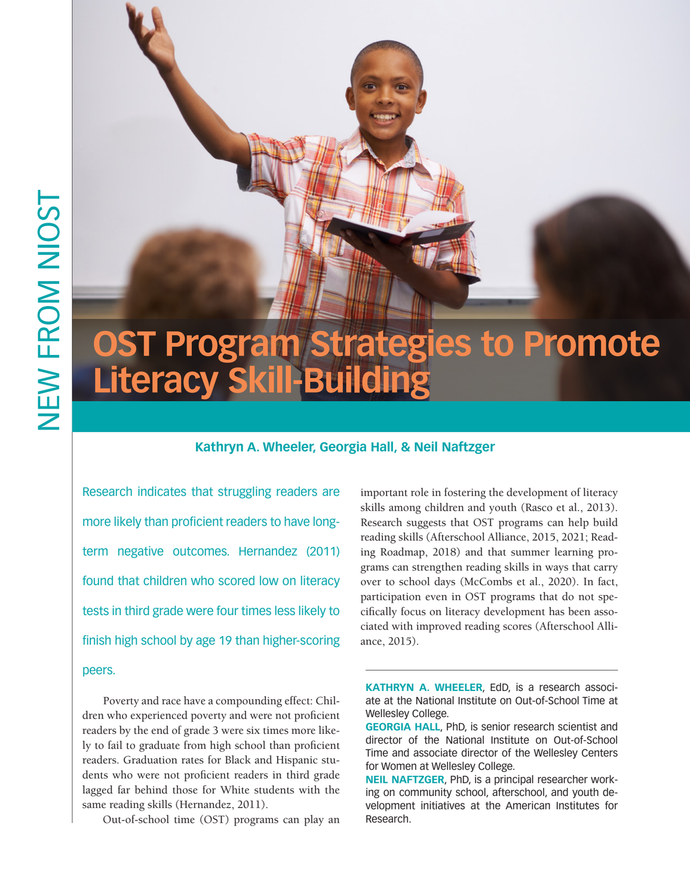# **OST Program Strategies to Promote Literacy Skill-Building**

# **Kathryn A. Wheeler, Georgia Hall, & Neil Naftzger**

Research indicates that struggling readers are more likely than proficient readers to have longterm negative outcomes. Hernandez (2011) found that children who scored low on literacy tests in third grade were four times less likely to finish high school by age 19 than higher-scoring peers.

Poverty and race have a compounding effect: Children who experienced poverty and were not proficient readers by the end of grade 3 were six times more likely to fail to graduate from high school than proficient readers. Graduation rates for Black and Hispanic students who were not proficient readers in third grade lagged far behind those for White students with the same reading skills (Hernandez, 2011).

Out-of-school time (OST) programs can play an

important role in fostering the development of literacy skills among children and youth (Rasco et al., 2013). Research suggests that OST programs can help build reading skills (Afterschool Alliance, 2015, 2021; Reading Roadmap, 2018) and that summer learning programs can strengthen reading skills in ways that carry over to school days (McCombs et al., 2020). In fact, participation even in OST programs that do not specifically focus on literacy development has been associated with improved reading scores (Afterschool Alliance, 2015).

**KATHRYN A. WHEELER**, EdD, is a research associate at the National Institute on Out-of-School Time at Wellesley College.

**GEORGIA HALL**, PhD, is senior research scientist and director of the National Institute on Out-of-School Time and associate director of the Wellesley Centers for Women at Wellesley College.

**NEIL NAFTZGER**, PhD, is a principal researcher working on community school, afterschool, and youth development initiatives at the American Institutes for Research.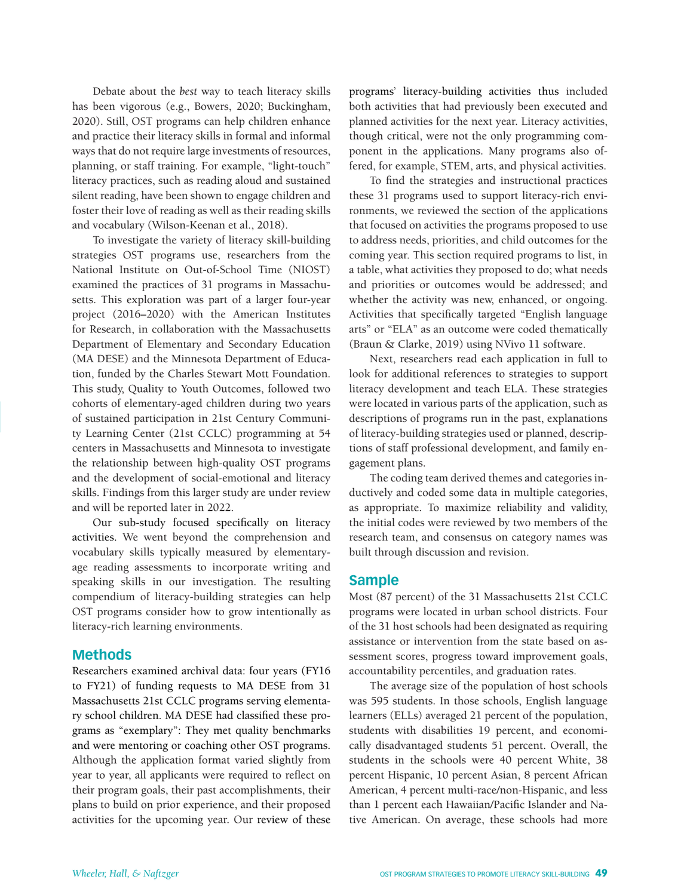Debate about the *best* way to teach literacy skills has been vigorous (e.g., Bowers, 2020; Buckingham, 2020). Still, OST programs can help children enhance and practice their literacy skills in formal and informal ways that do not require large investments of resources, planning, or staff training. For example, "light-touch" literacy practices, such as reading aloud and sustained silent reading, have been shown to engage children and foster their love of reading as well as their reading skills and vocabulary (Wilson-Keenan et al., 2018).

To investigate the variety of literacy skill-building strategies OST programs use, researchers from the National Institute on Out-of-School Time (NIOST) examined the practices of 31 programs in Massachusetts. This exploration was part of a larger four-year project (2016–2020) with the American Institutes for Research, in collaboration with the Massachusetts Department of Elementary and Secondary Education (MA DESE) and the Minnesota Department of Education, funded by the Charles Stewart Mott Foundation. This study, Quality to Youth Outcomes, followed two cohorts of elementary-aged children during two years of sustained participation in 21st Century Community Learning Center (21st CCLC) programming at 54 centers in Massachusetts and Minnesota to investigate the relationship between high-quality OST programs and the development of social-emotional and literacy skills. Findings from this larger study are under review and will be reported later in 2022.

Our sub-study focused specifically on literacy activities. We went beyond the comprehension and vocabulary skills typically measured by elementaryage reading assessments to incorporate writing and speaking skills in our investigation. The resulting compendium of literacy-building strategies can help OST programs consider how to grow intentionally as literacy-rich learning environments.

# **Methods**

Researchers examined archival data: four years (FY16 to FY21) of funding requests to MA DESE from 31 Massachusetts 21st CCLC programs serving elementary school children. MA DESE had classified these programs as "exemplary": They met quality benchmarks and were mentoring or coaching other OST programs. Although the application format varied slightly from year to year, all applicants were required to reflect on their program goals, their past accomplishments, their plans to build on prior experience, and their proposed activities for the upcoming year. Our review of these

programs' literacy-building activities thus included both activities that had previously been executed and planned activities for the next year. Literacy activities, though critical, were not the only programming component in the applications. Many programs also offered, for example, STEM, arts, and physical activities.

To find the strategies and instructional practices these 31 programs used to support literacy-rich environments, we reviewed the section of the applications that focused on activities the programs proposed to use to address needs, priorities, and child outcomes for the coming year. This section required programs to list, in a table, what activities they proposed to do; what needs and priorities or outcomes would be addressed; and whether the activity was new, enhanced, or ongoing. Activities that specifically targeted "English language arts" or "ELA" as an outcome were coded thematically (Braun & Clarke, 2019) using NVivo 11 software.

Next, researchers read each application in full to look for additional references to strategies to support literacy development and teach ELA. These strategies were located in various parts of the application, such as descriptions of programs run in the past, explanations of literacy-building strategies used or planned, descriptions of staff professional development, and family engagement plans.

The coding team derived themes and categories inductively and coded some data in multiple categories, as appropriate. To maximize reliability and validity, the initial codes were reviewed by two members of the research team, and consensus on category names was built through discussion and revision.

### **Sample**

Most (87 percent) of the 31 Massachusetts 21st CCLC programs were located in urban school districts. Four of the 31 host schools had been designated as requiring assistance or intervention from the state based on assessment scores, progress toward improvement goals, accountability percentiles, and graduation rates.

The average size of the population of host schools was 595 students. In those schools, English language learners (ELLs) averaged 21 percent of the population, students with disabilities 19 percent, and economically disadvantaged students 51 percent. Overall, the students in the schools were 40 percent White, 38 percent Hispanic, 10 percent Asian, 8 percent African American, 4 percent multi-race/non-Hispanic, and less than 1 percent each Hawaiian/Pacific Islander and Native American. On average, these schools had more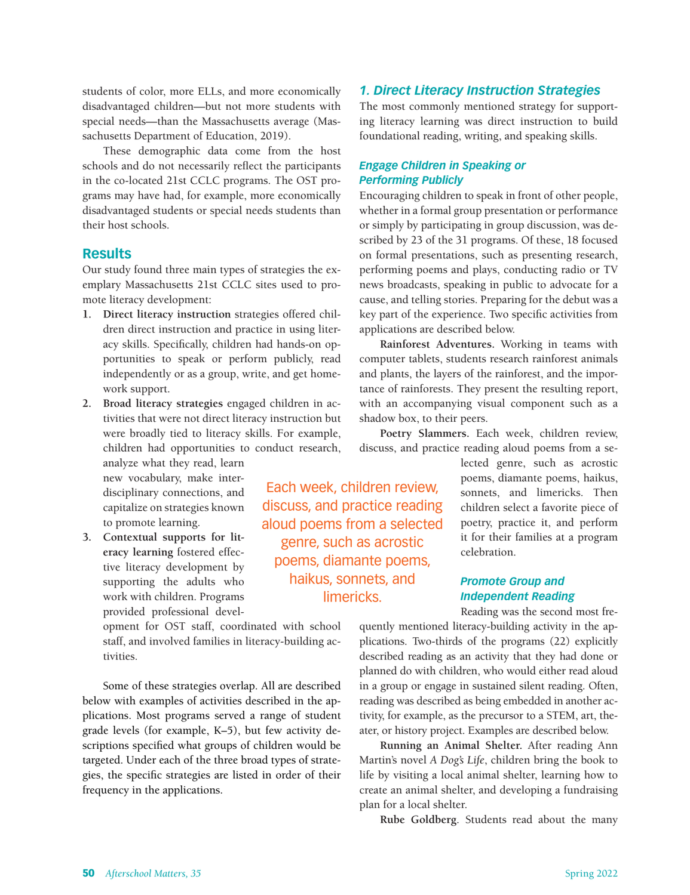students of color, more ELLs, and more economically disadvantaged children—but not more students with special needs—than the Massachusetts average (Massachusetts Department of Education, 2019).

These demographic data come from the host schools and do not necessarily reflect the participants in the co-located 21st CCLC programs. The OST programs may have had, for example, more economically disadvantaged students or special needs students than their host schools.

# **Results**

Our study found three main types of strategies the exemplary Massachusetts 21st CCLC sites used to promote literacy development:

- **1. Direct literacy instruction** strategies offered children direct instruction and practice in using literacy skills. Specifically, children had hands-on opportunities to speak or perform publicly, read independently or as a group, write, and get homework support.
- **2. Broad literacy strategies** engaged children in activities that were not direct literacy instruction but were broadly tied to literacy skills. For example, children had opportunities to conduct research,

analyze what they read, learn new vocabulary, make interdisciplinary connections, and capitalize on strategies known to promote learning.

**3. Contextual supports for literacy learning** fostered effective literacy development by supporting the adults who work with children. Programs provided professional devel-

> opment for OST staff, coordinated with school staff, and involved families in literacy-building activities.

Some of these strategies overlap. All are described below with examples of activities described in the applications. Most programs served a range of student grade levels (for example, K–5), but few activity descriptions specified what groups of children would be targeted. Under each of the three broad types of strategies, the specific strategies are listed in order of their frequency in the applications.

# Each week, children review, discuss, and practice reading aloud poems from a selected genre, such as acrostic poems, diamante poems, haikus, sonnets, and limericks.

### *1. Direct Literacy Instruction Strategies*

The most commonly mentioned strategy for supporting literacy learning was direct instruction to build foundational reading, writing, and speaking skills.

### *Engage Children in Speaking or Performing Publicly*

Encouraging children to speak in front of other people, whether in a formal group presentation or performance or simply by participating in group discussion, was described by 23 of the 31 programs. Of these, 18 focused on formal presentations, such as presenting research, performing poems and plays, conducting radio or TV news broadcasts, speaking in public to advocate for a cause, and telling stories. Preparing for the debut was a key part of the experience. Two specific activities from applications are described below.

**Rainforest Adventures.** Working in teams with computer tablets, students research rainforest animals and plants, the layers of the rainforest, and the importance of rainforests. They present the resulting report, with an accompanying visual component such as a shadow box, to their peers.

**Poetry Slammers.** Each week, children review, discuss, and practice reading aloud poems from a se-

> lected genre, such as acrostic poems, diamante poems, haikus, sonnets, and limericks. Then children select a favorite piece of poetry, practice it, and perform it for their families at a program celebration.

# *Promote Group and Independent Reading*

Reading was the second most fre-

quently mentioned literacy-building activity in the applications. Two-thirds of the programs (22) explicitly described reading as an activity that they had done or planned do with children, who would either read aloud in a group or engage in sustained silent reading. Often, reading was described as being embedded in another activity, for example, as the precursor to a STEM, art, theater, or history project. Examples are described below.

**Running an Animal Shelter.** After reading Ann Martin's novel *A Dog's Life*, children bring the book to life by visiting a local animal shelter, learning how to create an animal shelter, and developing a fundraising plan for a local shelter.

**Rube Goldberg**. Students read about the many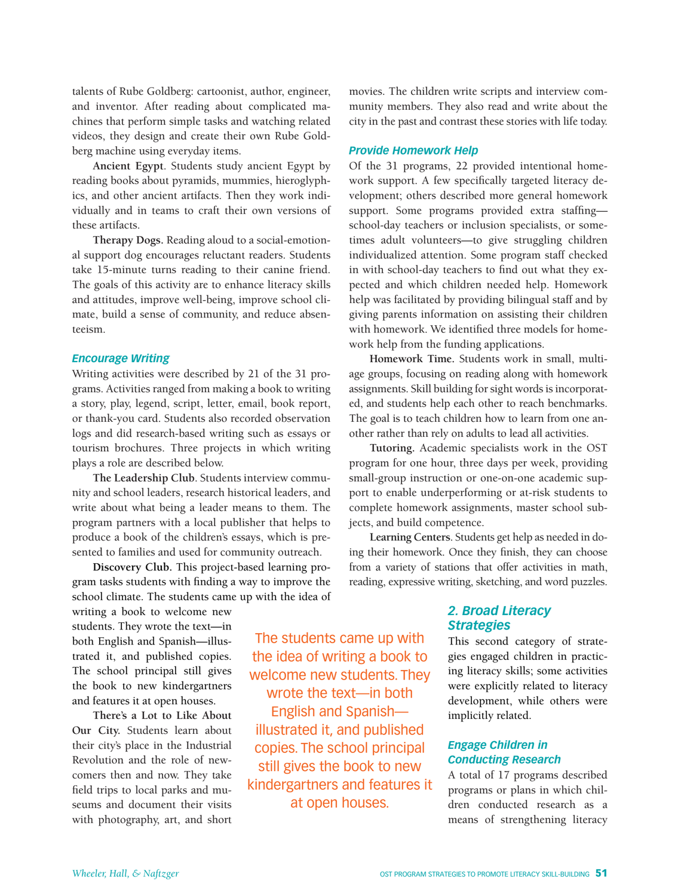talents of Rube Goldberg: cartoonist, author, engineer, and inventor. After reading about complicated machines that perform simple tasks and watching related videos, they design and create their own Rube Goldberg machine using everyday items.

**Ancient Egypt**. Students study ancient Egypt by reading books about pyramids, mummies, hieroglyphics, and other ancient artifacts. Then they work individually and in teams to craft their own versions of these artifacts.

**Therapy Dogs.** Reading aloud to a social-emotional support dog encourages reluctant readers. Students take 15-minute turns reading to their canine friend. The goals of this activity are to enhance literacy skills and attitudes, improve well-being, improve school climate, build a sense of community, and reduce absenteeism.

### *Encourage Writing*

Writing activities were described by 21 of the 31 programs. Activities ranged from making a book to writing a story, play, legend, script, letter, email, book report, or thank-you card. Students also recorded observation logs and did research-based writing such as essays or tourism brochures. Three projects in which writing plays a role are described below.

**The Leadership Club**. Students interview community and school leaders, research historical leaders, and write about what being a leader means to them. The program partners with a local publisher that helps to produce a book of the children's essays, which is presented to families and used for community outreach.

**Discovery Club.** This project-based learning program tasks students with finding a way to improve the school climate. The students came up with the idea of

writing a book to welcome new students. They wrote the text—in both English and Spanish—illustrated it, and published copies. The school principal still gives the book to new kindergartners and features it at open houses.

**There's a Lot to Like About Our City.** Students learn about their city's place in the Industrial Revolution and the role of newcomers then and now. They take field trips to local parks and museums and document their visits with photography, art, and short

The students came up with the idea of writing a book to welcome new students. They wrote the text—in both English and Spanish illustrated it, and published copies. The school principal still gives the book to new kindergartners and features it at open houses.

movies. The children write scripts and interview community members. They also read and write about the city in the past and contrast these stories with life today.

### *Provide Homework Help*

Of the 31 programs, 22 provided intentional homework support. A few specifically targeted literacy development; others described more general homework support. Some programs provided extra staffing school-day teachers or inclusion specialists, or sometimes adult volunteers—to give struggling children individualized attention. Some program staff checked in with school-day teachers to find out what they expected and which children needed help. Homework help was facilitated by providing bilingual staff and by giving parents information on assisting their children with homework. We identified three models for homework help from the funding applications.

**Homework Time.** Students work in small, multiage groups, focusing on reading along with homework assignments. Skill building for sight words is incorporated, and students help each other to reach benchmarks. The goal is to teach children how to learn from one another rather than rely on adults to lead all activities.

**Tutoring.** Academic specialists work in the OST program for one hour, three days per week, providing small-group instruction or one-on-one academic support to enable underperforming or at-risk students to complete homework assignments, master school subjects, and build competence.

**Learning Centers**. Students get help as needed in doing their homework. Once they finish, they can choose from a variety of stations that offer activities in math, reading, expressive writing, sketching, and word puzzles.

# *2. Broad Literacy Strategies*

This second category of strategies engaged children in practicing literacy skills; some activities were explicitly related to literacy development, while others were implicitly related.

# *Engage Children in Conducting Research*

A total of 17 programs described programs or plans in which children conducted research as a means of strengthening literacy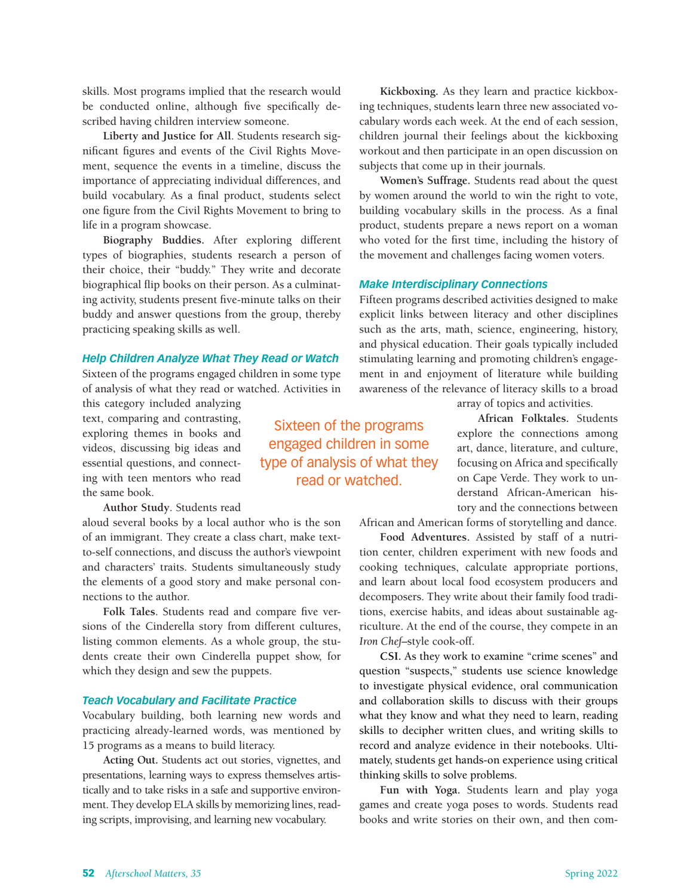skills. Most programs implied that the research would be conducted online, although five specifically described having children interview someone.

**Liberty and Justice for All**. Students research significant figures and events of the Civil Rights Movement, sequence the events in a timeline, discuss the importance of appreciating individual differences, and build vocabulary. As a final product, students select one figure from the Civil Rights Movement to bring to life in a program showcase.

**Biography Buddies.** After exploring different types of biographies, students research a person of their choice, their "buddy." They write and decorate biographical flip books on their person. As a culminating activity, students present five-minute talks on their buddy and answer questions from the group, thereby practicing speaking skills as well.

### *Help Children Analyze What They Read or Watch*

Sixteen of the programs engaged children in some type of analysis of what they read or watched. Activities in

this category included analyzing text, comparing and contrasting, exploring themes in books and videos, discussing big ideas and essential questions, and connecting with teen mentors who read the same book.

**Author Study**. Students read

aloud several books by a local author who is the son of an immigrant. They create a class chart, make textto-self connections, and discuss the author's viewpoint and characters' traits. Students simultaneously study the elements of a good story and make personal connections to the author.

**Folk Tales**. Students read and compare five versions of the Cinderella story from different cultures, listing common elements. As a whole group, the students create their own Cinderella puppet show, for which they design and sew the puppets.

### *Teach Vocabulary and Facilitate Practice*

Vocabulary building, both learning new words and practicing already-learned words, was mentioned by 15 programs as a means to build literacy.

**Acting Out.** Students act out stories, vignettes, and presentations, learning ways to express themselves artistically and to take risks in a safe and supportive environment. They develop ELA skills by memorizing lines, reading scripts, improvising, and learning new vocabulary.

Sixteen of the programs engaged children in some type of analysis of what they read or watched.

**Kickboxing.** As they learn and practice kickboxing techniques, students learn three new associated vocabulary words each week. At the end of each session, children journal their feelings about the kickboxing workout and then participate in an open discussion on subjects that come up in their journals.

**Women's Suffrage.** Students read about the quest by women around the world to win the right to vote, building vocabulary skills in the process. As a final product, students prepare a news report on a woman who voted for the first time, including the history of the movement and challenges facing women voters.

### *Make Interdisciplinary Connections*

Fifteen programs described activities designed to make explicit links between literacy and other disciplines such as the arts, math, science, engineering, history, and physical education. Their goals typically included stimulating learning and promoting children's engagement in and enjoyment of literature while building awareness of the relevance of literacy skills to a broad

array of topics and activities.

**African Folktales.** Students explore the connections among art, dance, literature, and culture, focusing on Africa and specifically on Cape Verde. They work to understand African-American history and the connections between

African and American forms of storytelling and dance.

**Food Adventures.** Assisted by staff of a nutrition center, children experiment with new foods and cooking techniques, calculate appropriate portions, and learn about local food ecosystem producers and decomposers. They write about their family food traditions, exercise habits, and ideas about sustainable agriculture. At the end of the course, they compete in an *Iron Chef*–style cook-off.

**CSI.** As they work to examine "crime scenes" and question "suspects," students use science knowledge to investigate physical evidence, oral communication and collaboration skills to discuss with their groups what they know and what they need to learn, reading skills to decipher written clues, and writing skills to record and analyze evidence in their notebooks. Ultimately, students get hands-on experience using critical thinking skills to solve problems.

**Fun with Yoga.** Students learn and play yoga games and create yoga poses to words. Students read books and write stories on their own, and then com-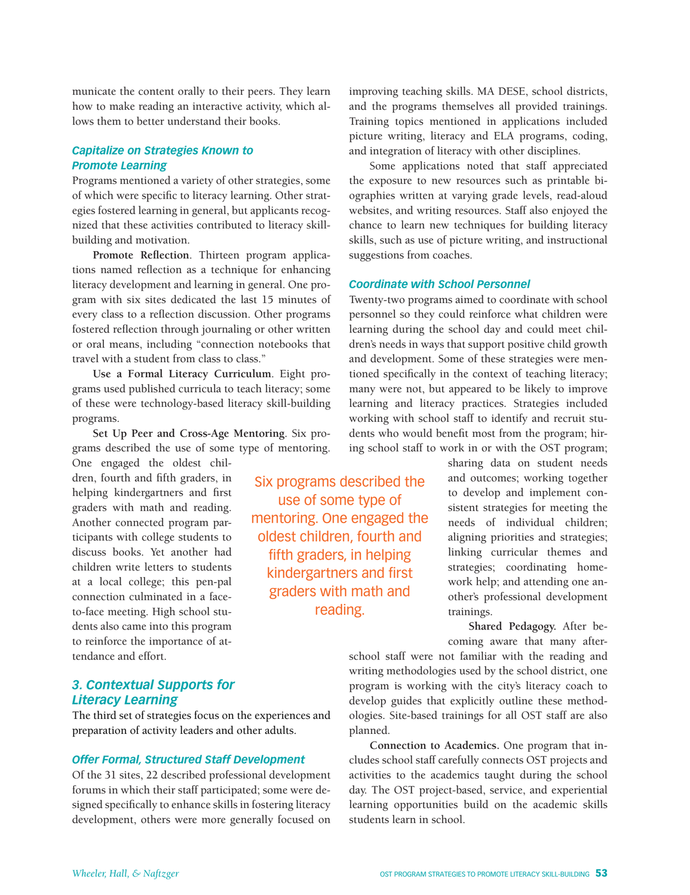municate the content orally to their peers. They learn how to make reading an interactive activity, which allows them to better understand their books.

### *Capitalize on Strategies Known to Promote Learning*

Programs mentioned a variety of other strategies, some of which were specific to literacy learning. Other strategies fostered learning in general, but applicants recognized that these activities contributed to literacy skillbuilding and motivation.

**Promote Reflection**. Thirteen program applications named reflection as a technique for enhancing literacy development and learning in general. One program with six sites dedicated the last 15 minutes of every class to a reflection discussion. Other programs fostered reflection through journaling or other written or oral means, including "connection notebooks that travel with a student from class to class."

**Use a Formal Literacy Curriculum**. Eight programs used published curricula to teach literacy; some of these were technology-based literacy skill-building programs.

**Set Up Peer and Cross-Age Mentoring**. Six programs described the use of some type of mentoring.

One engaged the oldest children, fourth and fifth graders, in helping kindergartners and first graders with math and reading. Another connected program participants with college students to discuss books. Yet another had children write letters to students at a local college; this pen-pal connection culminated in a faceto-face meeting. High school students also came into this program to reinforce the importance of attendance and effort.

# *3. Contextual Supports for Literacy Learning*

The third set of strategies focus on the experiences and preparation of activity leaders and other adults.

### *Offer Formal, Structured Staff Development*

Of the 31 sites, 22 described professional development forums in which their staff participated; some were designed specifically to enhance skills in fostering literacy development, others were more generally focused on improving teaching skills. MA DESE, school districts, and the programs themselves all provided trainings. Training topics mentioned in applications included picture writing, literacy and ELA programs, coding, and integration of literacy with other disciplines.

Some applications noted that staff appreciated the exposure to new resources such as printable biographies written at varying grade levels, read-aloud websites, and writing resources. Staff also enjoyed the chance to learn new techniques for building literacy skills, such as use of picture writing, and instructional suggestions from coaches.

### *Coordinate with School Personnel*

Twenty-two programs aimed to coordinate with school personnel so they could reinforce what children were learning during the school day and could meet children's needs in ways that support positive child growth and development. Some of these strategies were mentioned specifically in the context of teaching literacy; many were not, but appeared to be likely to improve learning and literacy practices. Strategies included working with school staff to identify and recruit students who would benefit most from the program; hiring school staff to work in or with the OST program;

> sharing data on student needs and outcomes; working together to develop and implement consistent strategies for meeting the needs of individual children; aligning priorities and strategies; linking curricular themes and strategies; coordinating homework help; and attending one another's professional development trainings.

> **Shared Pedagogy.** After becoming aware that many after-

school staff were not familiar with the reading and writing methodologies used by the school district, one program is working with the city's literacy coach to develop guides that explicitly outline these methodologies. Site-based trainings for all OST staff are also planned.

**Connection to Academics.** One program that includes school staff carefully connects OST projects and activities to the academics taught during the school day. The OST project-based, service, and experiential learning opportunities build on the academic skills students learn in school.

Six programs described the use of some type of mentoring. One engaged the oldest children, fourth and fifth graders, in helping kindergartners and first graders with math and reading.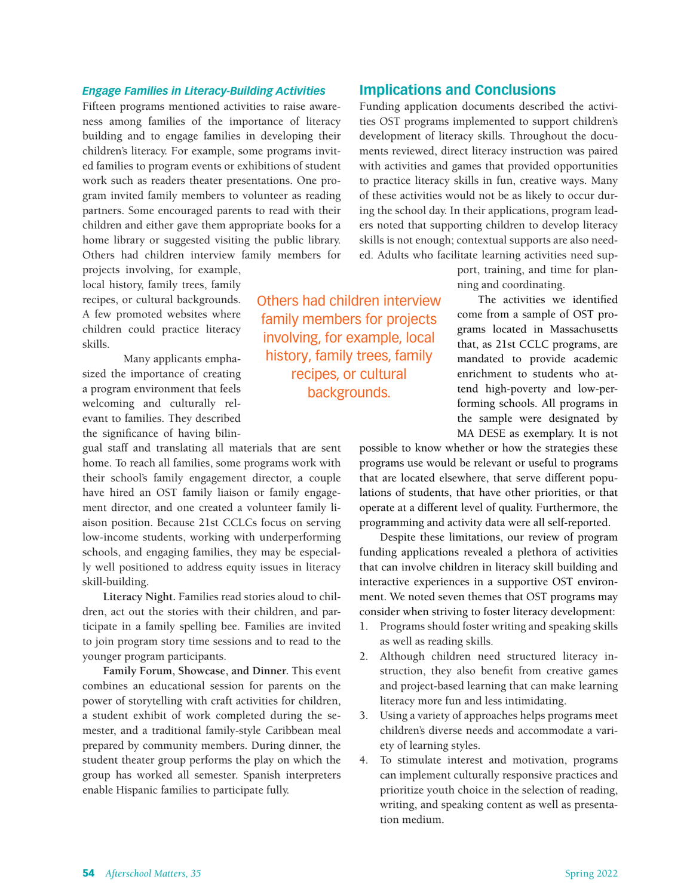### *Engage Families in Literacy-Building Activities*

Fifteen programs mentioned activities to raise awareness among families of the importance of literacy building and to engage families in developing their children's literacy. For example, some programs invited families to program events or exhibitions of student work such as readers theater presentations. One program invited family members to volunteer as reading partners. Some encouraged parents to read with their children and either gave them appropriate books for a home library or suggested visiting the public library. Others had children interview family members for

projects involving, for example, local history, family trees, family recipes, or cultural backgrounds. A few promoted websites where children could practice literacy skills.

Many applicants emphasized the importance of creating a program environment that feels welcoming and culturally relevant to families. They described the significance of having bilin-

gual staff and translating all materials that are sent home. To reach all families, some programs work with their school's family engagement director, a couple have hired an OST family liaison or family engagement director, and one created a volunteer family liaison position. Because 21st CCLCs focus on serving low-income students, working with underperforming schools, and engaging families, they may be especially well positioned to address equity issues in literacy skill-building.

**Literacy Night.** Families read stories aloud to children, act out the stories with their children, and participate in a family spelling bee. Families are invited to join program story time sessions and to read to the younger program participants.

**Family Forum, Showcase, and Dinner.** This event combines an educational session for parents on the power of storytelling with craft activities for children, a student exhibit of work completed during the semester, and a traditional family-style Caribbean meal prepared by community members. During dinner, the student theater group performs the play on which the group has worked all semester. Spanish interpreters enable Hispanic families to participate fully.

Others had children interview family members for projects involving, for example, local history, family trees, family recipes, or cultural backgrounds.

### **Implications and Conclusions**

Funding application documents described the activities OST programs implemented to support children's development of literacy skills. Throughout the documents reviewed, direct literacy instruction was paired with activities and games that provided opportunities to practice literacy skills in fun, creative ways. Many of these activities would not be as likely to occur during the school day. In their applications, program leaders noted that supporting children to develop literacy skills is not enough; contextual supports are also needed. Adults who facilitate learning activities need sup-

> port, training, and time for planning and coordinating.

The activities we identified come from a sample of OST programs located in Massachusetts that, as 21st CCLC programs, are mandated to provide academic enrichment to students who attend high-poverty and low-performing schools. All programs in the sample were designated by MA DESE as exemplary. It is not

possible to know whether or how the strategies these programs use would be relevant or useful to programs that are located elsewhere, that serve different populations of students, that have other priorities, or that operate at a different level of quality. Furthermore, the programming and activity data were all self-reported.

Despite these limitations, our review of program funding applications revealed a plethora of activities that can involve children in literacy skill building and interactive experiences in a supportive OST environment. We noted seven themes that OST programs may consider when striving to foster literacy development:

- 1. Programs should foster writing and speaking skills as well as reading skills.
- 2. Although children need structured literacy instruction, they also benefit from creative games and project-based learning that can make learning literacy more fun and less intimidating.
- 3. Using a variety of approaches helps programs meet children's diverse needs and accommodate a variety of learning styles.
- 4. To stimulate interest and motivation, programs can implement culturally responsive practices and prioritize youth choice in the selection of reading, writing, and speaking content as well as presentation medium.